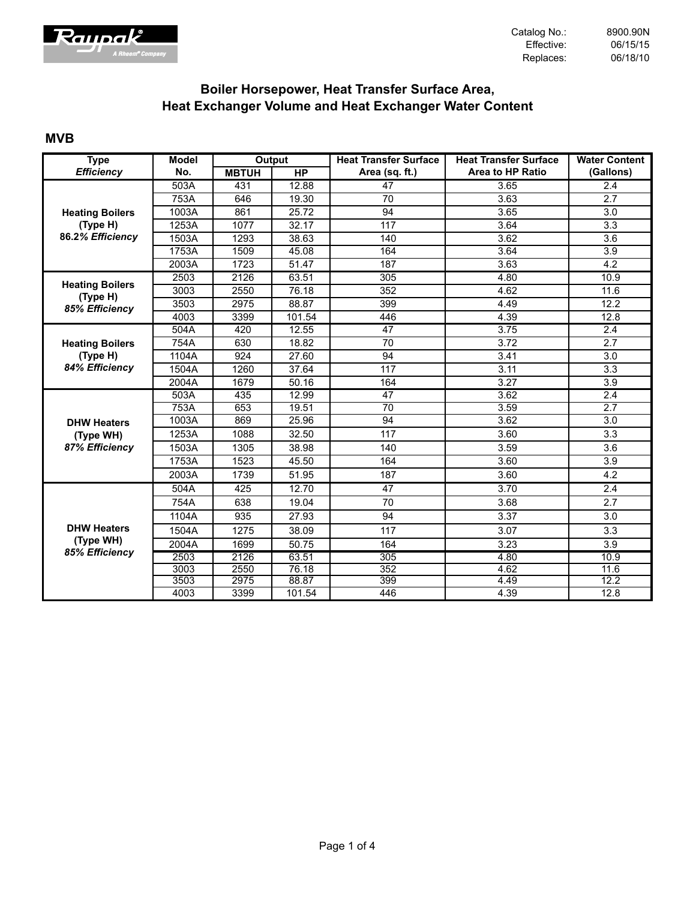

# **Boiler Horsepower, Heat Transfer Surface Area, Heat Exchanger Volume and Heat Exchanger Water Content**

#### **MVB**

| <b>Type</b>                                       | <b>Model</b> |              | Output    | <b>Heat Transfer Surface</b> | <b>Heat Transfer Surface</b> | <b>Water Content</b> |
|---------------------------------------------------|--------------|--------------|-----------|------------------------------|------------------------------|----------------------|
| <b>Efficiency</b>                                 | No.          | <b>MBTUH</b> | <b>HP</b> | Area (sq. ft.)               | <b>Area to HP Ratio</b>      | (Gallons)            |
|                                                   | 503A         | 431          | 12.88     | 47                           | 3.65                         | 2.4                  |
|                                                   | 753A         | 646          | 19.30     | 70                           | 3.63                         | $\overline{2.7}$     |
| <b>Heating Boilers</b>                            | 1003A        | 861          | 25.72     | 94                           | 3.65                         | 3.0                  |
| (Type H)                                          | 1253A        | 1077         | 32.17     | 117                          | 3.64                         | 3.3                  |
| 86.2% Efficiency                                  | 1503A        | 1293         | 38.63     | 140                          | 3.62                         | 3.6                  |
|                                                   | 1753A        | 1509         | 45.08     | 164                          | 3.64                         | 3.9                  |
|                                                   | 2003A        | 1723         | 51.47     | 187                          | 3.63                         | 4.2                  |
|                                                   | 2503         | 2126         | 63.51     | 305                          | 4.80                         | 10.9                 |
| <b>Heating Boilers</b><br>(Type H)                | 3003         | 2550         | 76.18     | 352                          | 4.62                         | 11.6                 |
| 85% Efficiency                                    | 3503         | 2975         | 88.87     | 399                          | 4.49                         | 12.2                 |
|                                                   | 4003         | 3399         | 101.54    | 446                          | 4.39                         | 12.8                 |
|                                                   | 504A         | 420          | 12.55     | 47                           | 3.75                         | 2.4                  |
| <b>Heating Boilers</b>                            | 754A         | 630          | 18.82     | 70                           | 3.72                         | 2.7                  |
| (Type H)                                          | 1104A        | 924          | 27.60     | 94                           | 3.41                         | 3.0                  |
| 84% Efficiency                                    | 1504A        | 1260         | 37.64     | 117                          | 3.11                         | 3.3                  |
|                                                   | 2004A        | 1679         | 50.16     | 164                          | 3.27                         | 3.9                  |
|                                                   | 503A         | 435          | 12.99     | $\overline{47}$              | 3.62                         | $\overline{2.4}$     |
|                                                   | 753A         | 653          | 19.51     | 70                           | 3.59                         | 2.7                  |
| <b>DHW Heaters</b>                                | 1003A        | 869          | 25.96     | 94                           | 3.62                         | 3.0                  |
| (Type WH)                                         | 1253A        | 1088         | 32.50     | 117                          | 3.60                         | 3.3                  |
| 87% Efficiency                                    | 1503A        | 1305         | 38.98     | 140                          | 3.59                         | 3.6                  |
|                                                   | 1753A        | 1523         | 45.50     | 164                          | 3.60                         | 3.9                  |
|                                                   | 2003A        | 1739         | 51.95     | 187                          | 3.60                         | 4.2                  |
|                                                   | 504A         | 425          | 12.70     | 47                           | 3.70                         | $\overline{2.4}$     |
|                                                   | 754A         | 638          | 19.04     | 70                           | 3.68                         | 2.7                  |
| <b>DHW Heaters</b><br>(Type WH)<br>85% Efficiency | 1104A        | 935          | 27.93     | 94                           | 3.37                         | 3.0                  |
|                                                   | 1504A        | 1275         | 38.09     | 117                          | 3.07                         | 3.3                  |
|                                                   | 2004A        | 1699         | 50.75     | 164                          | 3.23                         | 3.9                  |
|                                                   | 2503         | 2126         | 63.51     | 305                          | 4.80                         | 10.9                 |
|                                                   | 3003         | 2550         | 76.18     | 352                          | 4.62                         | 11.6                 |
|                                                   | 3503         | 2975         | 88.87     | 399                          | 4.49                         | 12.2                 |
|                                                   | 4003         | 3399         | 101.54    | 446                          | 4.39                         | 12.8                 |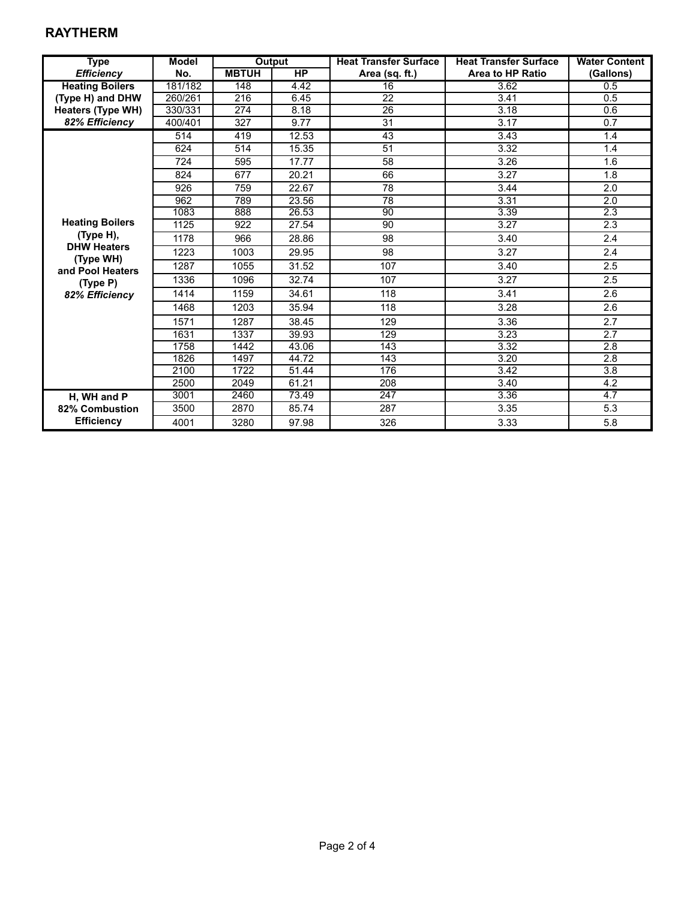### **RAYTHERM**

| <b>Type</b>                     | <b>Model</b> | Output       |           | <b>Heat Transfer Surface</b> | <b>Heat Transfer Surface</b> | <b>Water Content</b> |
|---------------------------------|--------------|--------------|-----------|------------------------------|------------------------------|----------------------|
| <b>Efficiency</b>               | No.          | <b>MBTUH</b> | <b>HP</b> | Area (sq. ft.)               | Area to HP Ratio             | (Gallons)            |
| <b>Heating Boilers</b>          | 181/182      | 148          | 4.42      | 16                           | 3.62                         | 0.5                  |
| (Type H) and DHW                | 260/261      | 216          | 6.45      | $\overline{22}$              | 3.41                         | 0.5                  |
| <b>Heaters (Type WH)</b>        | 330/331      | 274          | 8.18      | 26                           | 3.18                         | 0.6                  |
| 82% Efficiency                  | 400/401      | 327          | 9.77      | 31                           | 3.17                         | 0.7                  |
|                                 | 514          | 419          | 12.53     | 43                           | 3.43                         | 1.4                  |
|                                 | 624          | 514          | 15.35     | 51                           | 3.32                         | 1.4                  |
|                                 | 724          | 595          | 17.77     | 58                           | 3.26                         | 1.6                  |
|                                 | 824          | 677          | 20.21     | 66                           | 3.27                         | 1.8                  |
|                                 | 926          | 759          | 22.67     | 78                           | 3.44                         | 2.0                  |
|                                 | 962          | 789          | 23.56     | $\overline{78}$              | 3.31                         | 2.0                  |
|                                 | 1083         | 888          | 26.53     | 90                           | 3.39                         | 2.3                  |
| <b>Heating Boilers</b>          | 1125         | 922          | 27.54     | 90                           | 3.27                         | 2.3                  |
| (Type H),                       | 1178         | 966          | 28.86     | 98                           | 3.40                         | 2.4                  |
| <b>DHW Heaters</b><br>(Type WH) | 1223         | 1003         | 29.95     | 98                           | 3.27                         | 2.4                  |
| and Pool Heaters                | 1287         | 1055         | 31.52     | 107                          | 3.40                         | 2.5                  |
| (Type P)                        | 1336         | 1096         | 32.74     | 107                          | 3.27                         | 2.5                  |
| 82% Efficiency                  | 1414         | 1159         | 34.61     | 118                          | 3.41                         | 2.6                  |
|                                 | 1468         | 1203         | 35.94     | 118                          | 3.28                         | 2.6                  |
|                                 | 1571         | 1287         | 38.45     | 129                          | 3.36                         | 2.7                  |
|                                 | 1631         | 1337         | 39.93     | 129                          | 3.23                         | 2.7                  |
|                                 | 1758         | 1442         | 43.06     | 143                          | 3.32                         | 2.8                  |
|                                 | 1826         | 1497         | 44.72     | 143                          | 3.20                         | $\overline{2.8}$     |
|                                 | 2100         | 1722         | 51.44     | 176                          | 3.42                         | $\overline{3.8}$     |
|                                 | 2500         | 2049         | 61.21     | 208                          | 3.40                         | 4.2                  |
| H, WH and P                     | 3001         | 2460         | 73.49     | $\overline{247}$             | 3.36                         | $\overline{4.7}$     |
| 82% Combustion                  | 3500         | 2870         | 85.74     | 287                          | 3.35                         | 5.3                  |
| <b>Efficiency</b>               | 4001         | 3280         | 97.98     | 326                          | 3.33                         | 5.8                  |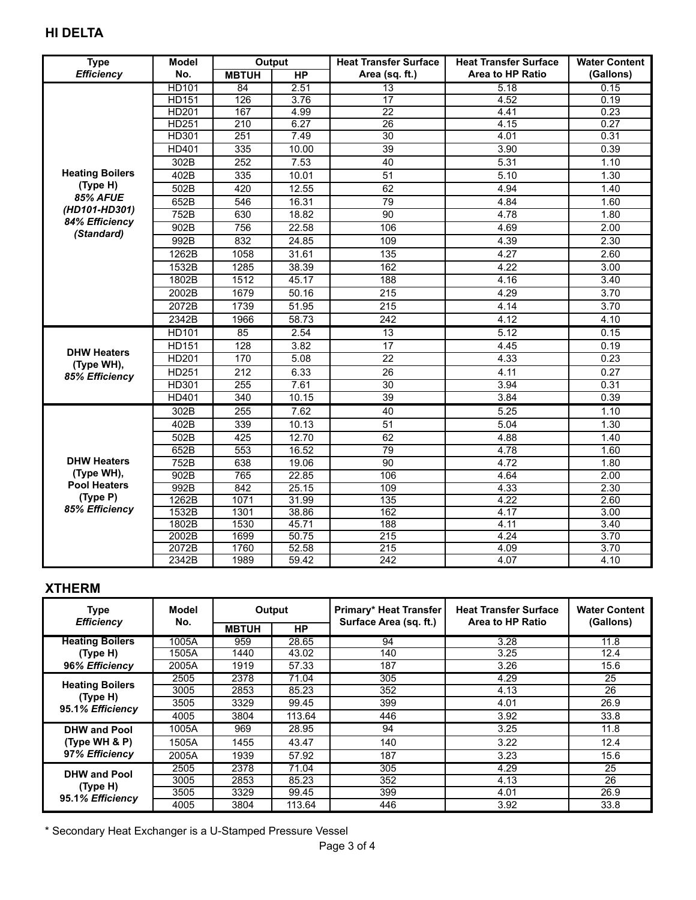# **HI DELTA**

| <b>Type</b>                  | <b>Model</b> | Output       |                    | <b>Heat Transfer Surface</b> | <b>Heat Transfer Surface</b> | <b>Water Content</b> |
|------------------------------|--------------|--------------|--------------------|------------------------------|------------------------------|----------------------|
| <b>Efficiency</b>            | No.          | <b>MBTUH</b> | <b>HP</b>          | Area (sq. ft.)               | <b>Area to HP Ratio</b>      | (Gallons)            |
|                              | HD101        | 84           | 2.51               | $\overline{13}$              | 5.18                         | 0.15                 |
|                              | <b>HD151</b> | 126          | 3.76               | $\overline{17}$              | 4.52                         | 0.19                 |
|                              | <b>HD201</b> | 167          | 4.99               | $\overline{22}$              | 4.41                         | 0.23                 |
|                              | <b>HD251</b> | 210          | 6.27               | $\overline{26}$              | 4.15                         | 0.27                 |
|                              | HD301        | 251          | 7.49               | 30                           | 4.01                         | 0.31                 |
|                              | HD401        | 335          | 10.00              | 39                           | 3.90                         | 0.39                 |
|                              | 302B         | 252          | 7.53               | 40                           | 5.31                         | 1.10                 |
| <b>Heating Boilers</b>       | 402B         | 335          | 10.01              | 51                           | 5.10                         | 1.30                 |
| (Type H)                     | 502B         | 420          | 12.55              | 62                           | 4.94                         | 1.40                 |
| <b>85% AFUE</b>              | 652B         | 546          | 16.31              | 79                           | 4.84                         | 1.60                 |
| (HD101-HD301)                | 752B         | 630          | 18.82              | 90                           | 4.78                         | 1.80                 |
| 84% Efficiency<br>(Standard) | 902B         | 756          | 22.58              | 106                          | 4.69                         | 2.00                 |
|                              | 992B         | 832          | 24.85              | 109                          | 4.39                         | 2.30                 |
|                              | 1262B        | 1058         | 31.61              | $\overline{135}$             | 4.27                         | 2.60                 |
|                              | 1532B        | 1285         | 38.39              | 162                          | 4.22                         | 3.00                 |
|                              | 1802B        | 1512         | 45.17              | 188                          | 4.16                         | 3.40                 |
|                              | 2002B        | 1679         | 50.16              | $\overline{215}$             | 4.29                         | 3.70                 |
|                              | 2072B        | 1739         | 51.95              | $\overline{215}$             | 4.14                         | 3.70                 |
|                              | 2342B        | 1966         | 58.73              | 242                          | 4.12                         | 4.10                 |
|                              | HD101        | 85           | 2.54               | $\overline{13}$              | 5.12                         | 0.15                 |
|                              | <b>HD151</b> | 128          | 3.82               | 17                           | 4.45                         | 0.19                 |
| <b>DHW Heaters</b>           | <b>HD201</b> | 170          | 5.08               | 22                           | 4.33                         | 0.23                 |
| (Type WH),                   | HD251        | 212          | 6.33               | 26                           | 4.11                         | 0.27                 |
| 85% Efficiency               | HD301        | 255          | 7.61               | 30                           | 3.94                         | 0.31                 |
|                              | HD401        | 340          | 10.15              | 39                           | 3.84                         | 0.39                 |
|                              | 302B         | 255          | 7.62               | 40                           | 5.25                         | 1.10                 |
|                              | 402B         | 339          | 10.13              | $\overline{51}$              | 5.04                         | 1.30                 |
|                              | 502B         | 425          | 12.70              | 62                           | 4.88                         | 1.40                 |
|                              | 652B         | 553          | 16.52              | 79                           | 4.78                         | 1.60                 |
| <b>DHW Heaters</b>           | 752B         | 638          | 19.06              | 90                           | 4.72                         | 1.80                 |
| (Type WH),                   | 902B         | 765          | 22.85              | 106                          | 4.64                         | 2.00                 |
| <b>Pool Heaters</b>          | 992B         | 842          | 25.15              | 109                          | 4.33                         | 2.30                 |
| (Type P)                     | 1262B        | 1071         | 31.99              | 135                          | 4.22                         | 2.60                 |
| 85% Efficiency               | 1532B        | 1301         | 38.86              | $\overline{162}$             | 4.17                         | 3.00                 |
|                              | 1802B        | 1530         | 45.71              | 188                          | 4.11                         | 3.40                 |
|                              | 2002B        | 1699         | $\overline{50.75}$ | 215                          | 4.24                         | 3.70                 |
|                              | 2072B        | 1760         | 52.58              | 215                          | 4.09                         | 3.70                 |
|                              | 2342B        | 1989         | 59.42              | $\sqrt{242}$                 | 4.07                         | 4.10                 |

#### **XTHERM**

| <b>Type</b>                                            | Model | Output       |        | <b>Primary* Heat Transfer</b> | <b>Heat Transfer Surface</b> | <b>Water Content</b> |
|--------------------------------------------------------|-------|--------------|--------|-------------------------------|------------------------------|----------------------|
| <b>Efficiency</b>                                      | No.   | <b>MBTUH</b> | HP     | Surface Area (sq. ft.)        | Area to HP Ratio             | (Gallons)            |
| <b>Heating Boilers</b>                                 | 1005A | 959          | 28.65  | 94                            | 3.28                         | 11.8                 |
| (Type H)                                               | 1505A | 1440         | 43.02  | 140                           | 3.25                         | 12.4                 |
| 96% Efficiency                                         | 2005A | 1919         | 57.33  | 187                           | 3.26                         | 15.6                 |
|                                                        | 2505  | 2378         | 71.04  | 305                           | 4.29                         | 25                   |
| <b>Heating Boilers</b><br>(Type H)                     | 3005  | 2853         | 85.23  | 352                           | 4.13                         | 26                   |
|                                                        | 3505  | 3329         | 99.45  | 399                           | 4.01                         | 26.9                 |
| 95.1% Efficiency                                       | 4005  | 3804         | 113.64 | 446                           | 3.92                         | 33.8                 |
| <b>DHW and Pool</b><br>(Type WH & P)<br>97% Efficiency | 1005A | 969          | 28.95  | 94                            | 3.25                         | 11.8                 |
|                                                        | 1505A | 1455         | 43.47  | 140                           | 3.22                         | 12.4                 |
|                                                        | 2005A | 1939         | 57.92  | 187                           | 3.23                         | 15.6                 |
| <b>DHW and Pool</b><br>(Type H)<br>95.1% Efficiency    | 2505  | 2378         | 71.04  | 305                           | 4.29                         | 25                   |
|                                                        | 3005  | 2853         | 85.23  | 352                           | 4.13                         | 26                   |
|                                                        | 3505  | 3329         | 99.45  | 399                           | 4.01                         | 26.9                 |
|                                                        | 4005  | 3804         | 113.64 | 446                           | 3.92                         | 33.8                 |

\* Secondary Heat Exchanger is a U-Stamped Pressure Vessel